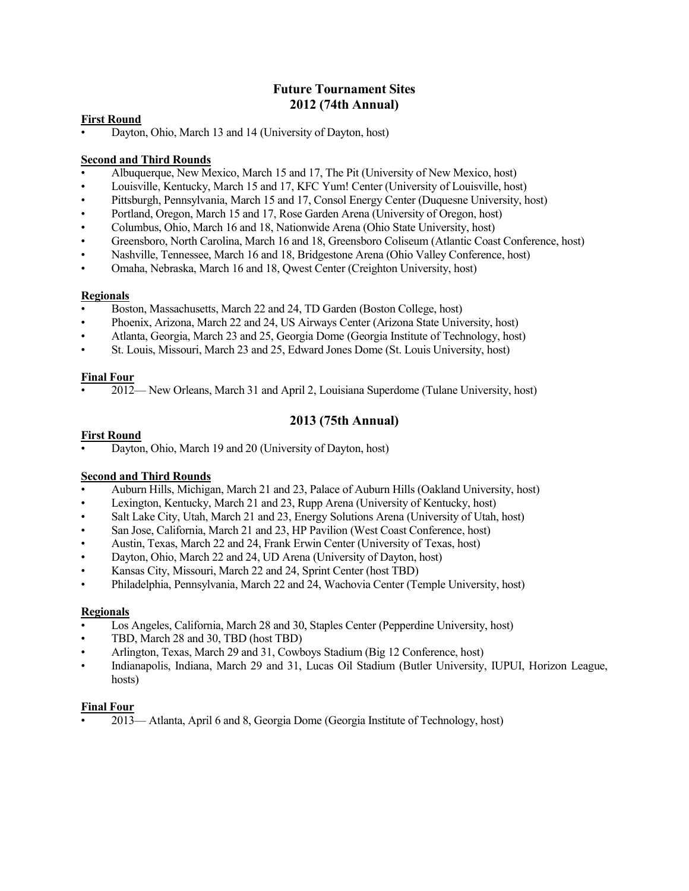## **Future Tournament Sites 2012 (74th Annual)**

#### **First Round**

• Dayton, Ohio, March 13 and 14 (University of Dayton, host)

#### **Second and Third Rounds**

- Albuquerque, New Mexico, March 15 and 17, The Pit (University of New Mexico, host)
- Louisville, Kentucky, March 15 and 17, KFC Yum! Center (University of Louisville, host)
- Pittsburgh, Pennsylvania, March 15 and 17, Consol Energy Center (Duquesne University, host)
- Portland, Oregon, March 15 and 17, Rose Garden Arena (University of Oregon, host)
- Columbus, Ohio, March 16 and 18, Nationwide Arena (Ohio State University, host)
- Greensboro, North Carolina, March 16 and 18, Greensboro Coliseum (Atlantic Coast Conference, host)
- Nashville, Tennessee, March 16 and 18, Bridgestone Arena (Ohio Valley Conference, host)
- Omaha, Nebraska, March 16 and 18, Qwest Center (Creighton University, host)

#### **Regionals**

- Boston, Massachusetts, March 22 and 24, TD Garden (Boston College, host)
- Phoenix, Arizona, March 22 and 24, US Airways Center (Arizona State University, host)
- Atlanta, Georgia, March 23 and 25, Georgia Dome (Georgia Institute of Technology, host)
- St. Louis, Missouri, March 23 and 25, Edward Jones Dome (St. Louis University, host)

#### **Final Four**

• 2012— New Orleans, March 31 and April 2, Louisiana Superdome (Tulane University, host)

## **2013 (75th Annual)**

#### **First Round**

• Dayton, Ohio, March 19 and 20 (University of Dayton, host)

#### **Second and Third Rounds**

- Auburn Hills, Michigan, March 21 and 23, Palace of Auburn Hills (Oakland University, host)
- Lexington, Kentucky, March 21 and 23, Rupp Arena (University of Kentucky, host)
- Salt Lake City, Utah, March 21 and 23, Energy Solutions Arena (University of Utah, host)
- San Jose, California, March 21 and 23, HP Pavilion (West Coast Conference, host)
- Austin, Texas, March 22 and 24, Frank Erwin Center (University of Texas, host)
- Dayton, Ohio, March 22 and 24, UD Arena (University of Dayton, host)
- Kansas City, Missouri, March 22 and 24, Sprint Center (host TBD)
- Philadelphia, Pennsylvania, March 22 and 24, Wachovia Center (Temple University, host)

#### **Regionals**

- Los Angeles, California, March 28 and 30, Staples Center (Pepperdine University, host)
- TBD, March 28 and 30, TBD (host TBD)
- Arlington, Texas, March 29 and 31, Cowboys Stadium (Big 12 Conference, host)
- Indianapolis, Indiana, March 29 and 31, Lucas Oil Stadium (Butler University, IUPUI, Horizon League, hosts)

#### **Final Four**

• 2013— Atlanta, April 6 and 8, Georgia Dome (Georgia Institute of Technology, host)